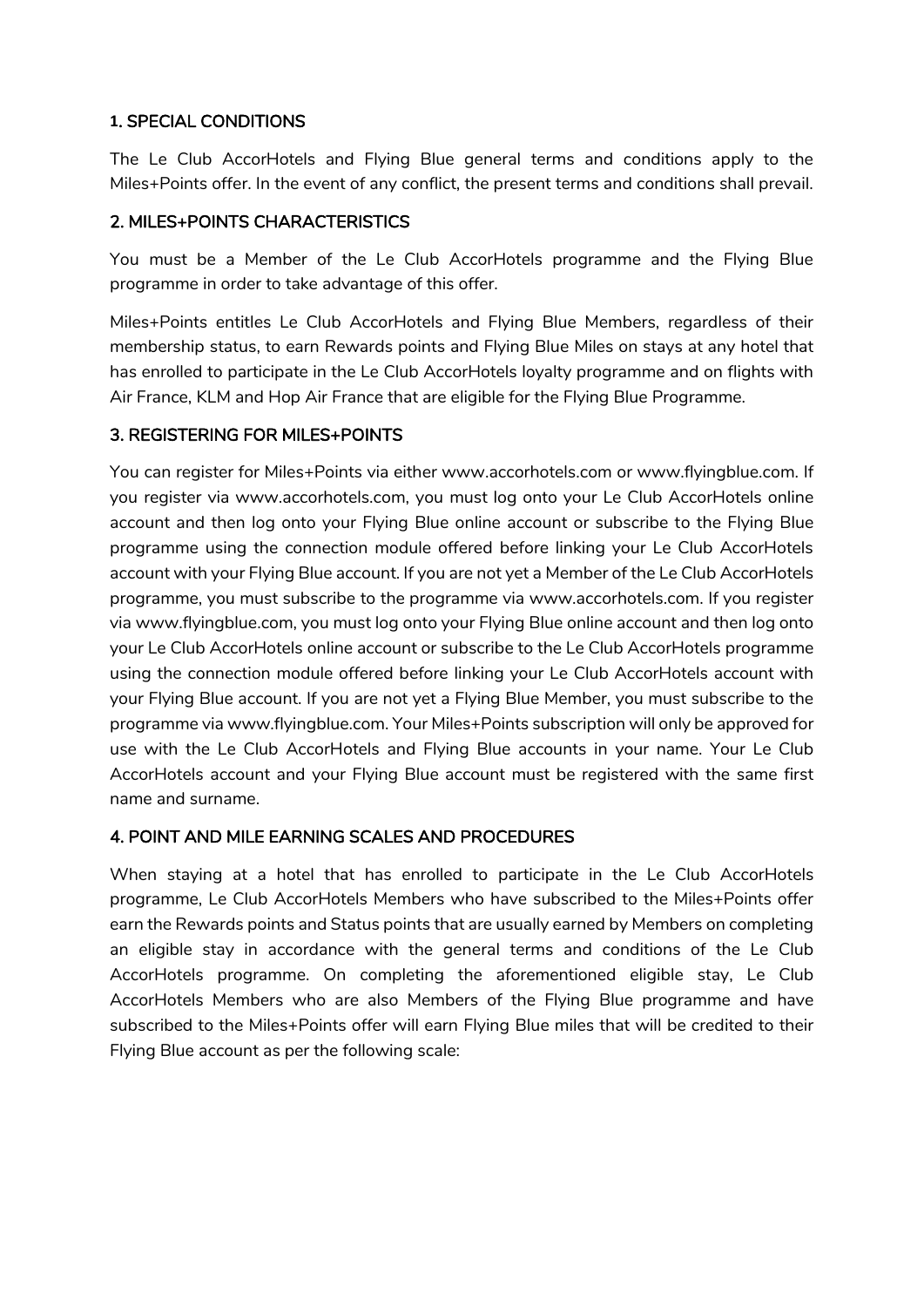#### **1**. SPECIAL CONDITIONS

The Le Club AccorHotels and Flying Blue general terms and conditions apply to the Miles+Points offer. In the event of any conflict, the present terms and conditions shall prevail.

#### 2. MILES+POINTS CHARACTERISTICS

You must be a Member of the Le Club AccorHotels programme and the Flying Blue programme in order to take advantage of this offer.

Miles+Points entitles Le Club AccorHotels and Flying Blue Members, regardless of their membership status, to earn Rewards points and Flying Blue Miles on stays at any hotel that has enrolled to participate in the Le Club AccorHotels loyalty programme and on flights with Air France, KLM and Hop Air France that are eligible for the Flying Blue Programme.

#### 3. REGISTERING FOR MILES+POINTS

You can register for Miles+Points via either www.accorhotels.com or www.flyingblue.com. If you register via www.accorhotels.com, you must log onto your Le Club AccorHotels online account and then log onto your Flying Blue online account or subscribe to the Flying Blue programme using the connection module offered before linking your Le Club AccorHotels account with your Flying Blue account. If you are not yet a Member of the Le Club AccorHotels programme, you must subscribe to the programme via www.accorhotels.com. If you register via www.flyingblue.com, you must log onto your Flying Blue online account and then log onto your Le Club AccorHotels online account or subscribe to the Le Club AccorHotels programme using the connection module offered before linking your Le Club AccorHotels account with your Flying Blue account. If you are not yet a Flying Blue Member, you must subscribe to the programme via www.flyingblue.com. Your Miles+Points subscription will only be approved for use with the Le Club AccorHotels and Flying Blue accounts in your name. Your Le Club AccorHotels account and your Flying Blue account must be registered with the same first name and surname.

#### 4. POINT AND MILE EARNING SCALES AND PROCEDURES

When staying at a hotel that has enrolled to participate in the Le Club AccorHotels programme, Le Club AccorHotels Members who have subscribed to the Miles+Points offer earn the Rewards points and Status points that are usually earned by Members on completing an eligible stay in accordance with the general terms and conditions of the Le Club AccorHotels programme. On completing the aforementioned eligible stay, Le Club AccorHotels Members who are also Members of the Flying Blue programme and have subscribed to the Miles+Points offer will earn Flying Blue miles that will be credited to their Flying Blue account as per the following scale: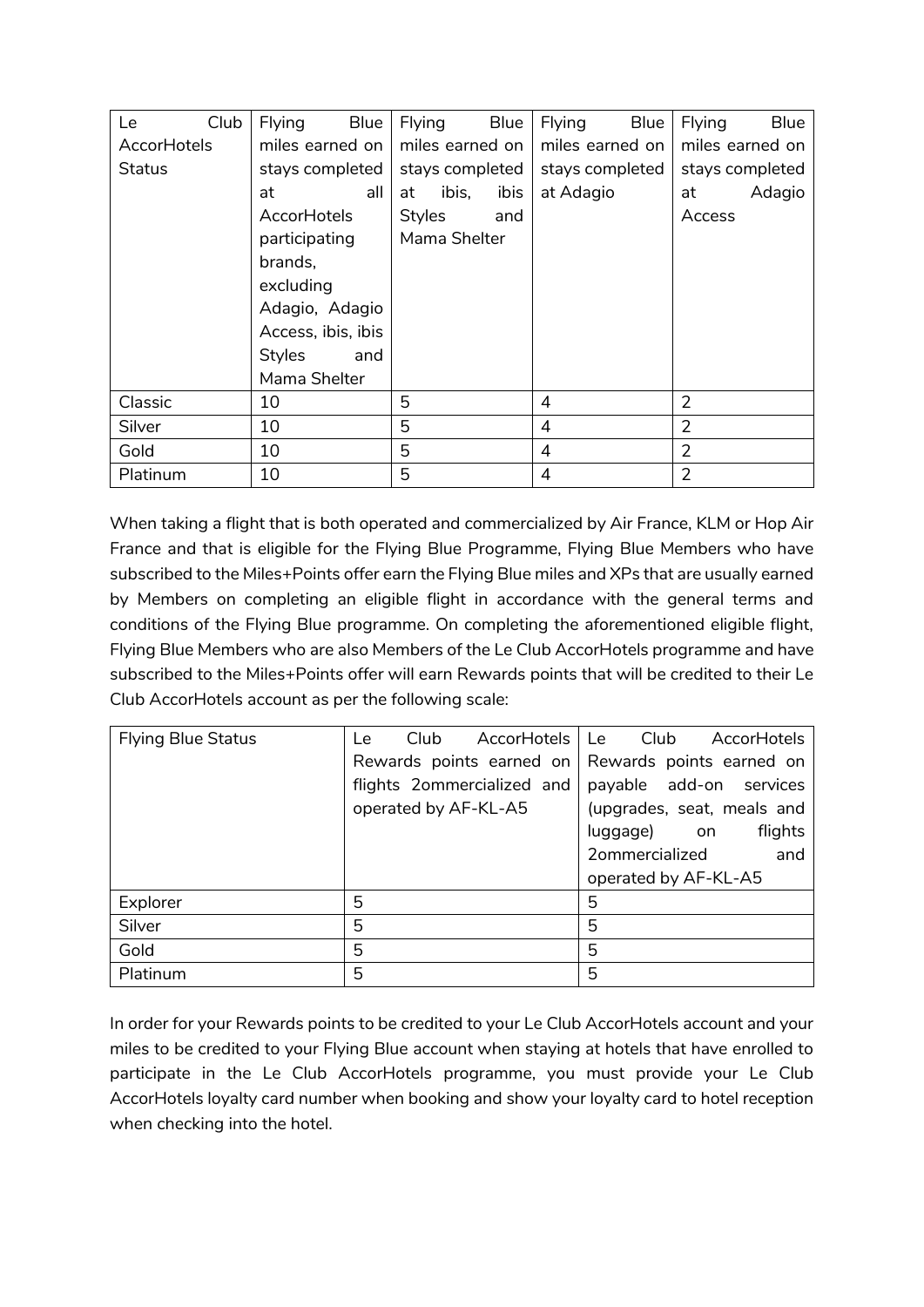| Le                 | Club | <b>Flying</b>      | Blue | Flying          |       | Blue            | Flying         | Blue            | Flying         | <b>Blue</b> |
|--------------------|------|--------------------|------|-----------------|-------|-----------------|----------------|-----------------|----------------|-------------|
| <b>AccorHotels</b> |      | miles earned on    |      | miles earned on |       | miles earned on |                | miles earned on |                |             |
| Status             |      | stays completed    |      | stays completed |       | stays completed |                | stays completed |                |             |
|                    |      | at                 | all  | at              | ibis, | ibis            | at Adagio      |                 | at             | Adagio      |
|                    |      | AccorHotels        |      | Styles          |       | and             |                |                 | Access         |             |
|                    |      | participating      |      | Mama Shelter    |       |                 |                |                 |                |             |
|                    |      | brands,            |      |                 |       |                 |                |                 |                |             |
|                    |      | excluding          |      |                 |       |                 |                |                 |                |             |
|                    |      | Adagio, Adagio     |      |                 |       |                 |                |                 |                |             |
|                    |      | Access, ibis, ibis |      |                 |       |                 |                |                 |                |             |
|                    |      | <b>Styles</b>      | and  |                 |       |                 |                |                 |                |             |
|                    |      | Mama Shelter       |      |                 |       |                 |                |                 |                |             |
| Classic            |      | 10                 |      | 5               |       |                 | 4              |                 | $\overline{2}$ |             |
| Silver             | 10   |                    | 5    |                 | 4     |                 | $\overline{2}$ |                 |                |             |
| Gold               | 10   |                    | 5    |                 | 4     |                 | $\overline{2}$ |                 |                |             |
| 10<br>Platinum     |      | 5                  |      | 4               |       | $\overline{2}$  |                |                 |                |             |

When taking a flight that is both operated and commercialized by Air France, KLM or Hop Air France and that is eligible for the Flying Blue Programme, Flying Blue Members who have subscribed to the Miles+Points offer earn the Flying Blue miles and XPs that are usually earned by Members on completing an eligible flight in accordance with the general terms and conditions of the Flying Blue programme. On completing the aforementioned eligible flight, Flying Blue Members who are also Members of the Le Club AccorHotels programme and have subscribed to the Miles+Points offer will earn Rewards points that will be credited to their Le Club AccorHotels account as per the following scale:

| <b>Flying Blue Status</b> | Club<br>Le                 | AccorHotels | Club<br>AccorHotels<br>Le  |  |  |
|---------------------------|----------------------------|-------------|----------------------------|--|--|
|                           | Rewards points earned on   |             | Rewards points earned on   |  |  |
|                           | flights 2ommercialized and |             | payable add-on services    |  |  |
|                           | operated by AF-KL-A5       |             | (upgrades, seat, meals and |  |  |
|                           |                            |             | flights<br>luggage)<br>on  |  |  |
|                           |                            |             | 2ommercialized<br>and      |  |  |
|                           |                            |             | operated by AF-KL-A5       |  |  |
| Explorer                  | 5                          |             | 5                          |  |  |
| Silver                    | 5                          |             | 5                          |  |  |
| Gold                      | 5                          |             | 5                          |  |  |
| Platinum                  | 5                          |             | 5                          |  |  |

In order for your Rewards points to be credited to your Le Club AccorHotels account and your miles to be credited to your Flying Blue account when staying at hotels that have enrolled to participate in the Le Club AccorHotels programme, you must provide your Le Club AccorHotels loyalty card number when booking and show your loyalty card to hotel reception when checking into the hotel.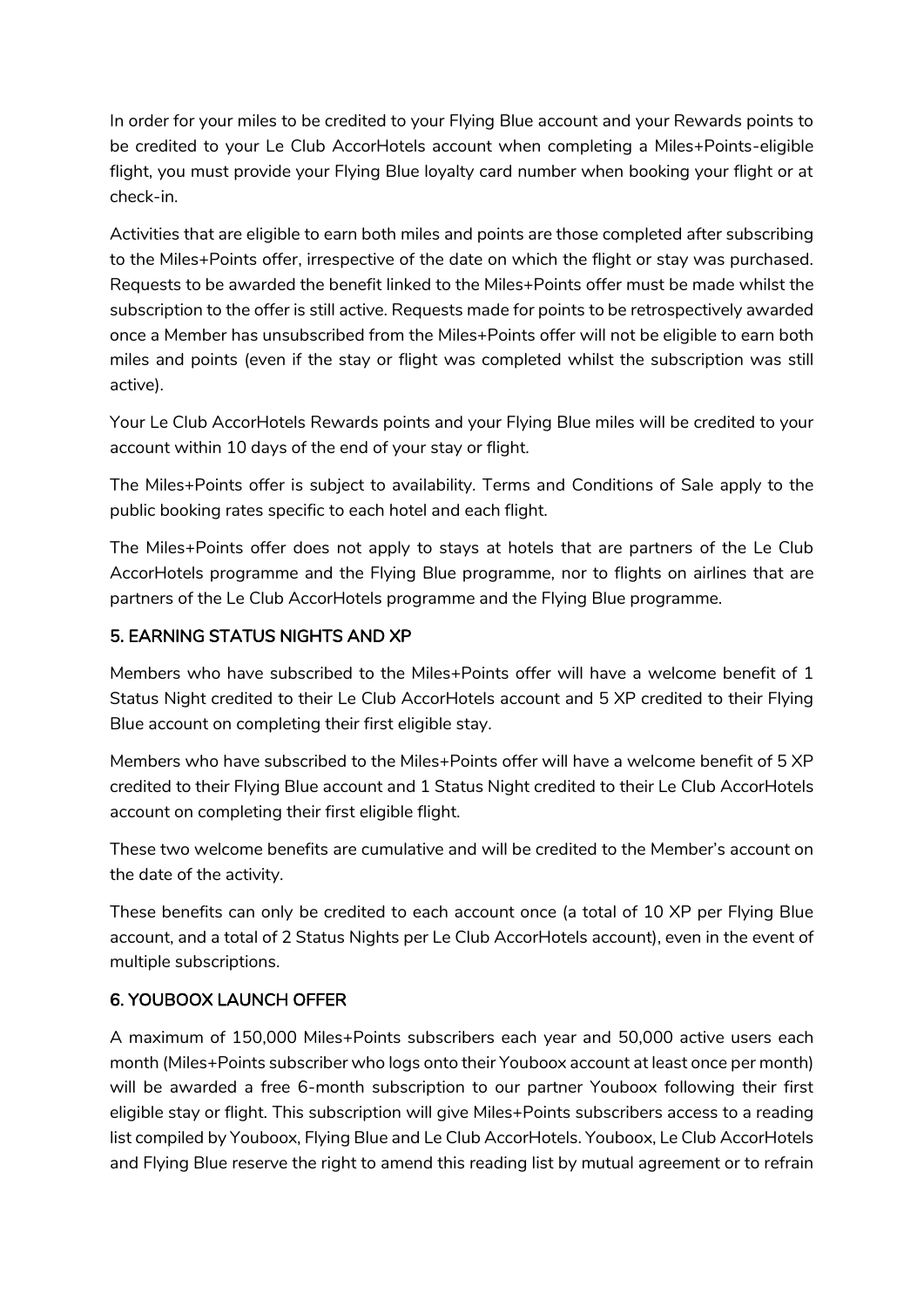In order for your miles to be credited to your Flying Blue account and your Rewards points to be credited to your Le Club AccorHotels account when completing a Miles+Points-eligible flight, you must provide your Flying Blue loyalty card number when booking your flight or at check-in.

Activities that are eligible to earn both miles and points are those completed after subscribing to the Miles+Points offer, irrespective of the date on which the flight or stay was purchased. Requests to be awarded the benefit linked to the Miles+Points offer must be made whilst the subscription to the offer is still active. Requests made for points to be retrospectively awarded once a Member has unsubscribed from the Miles+Points offer will not be eligible to earn both miles and points (even if the stay or flight was completed whilst the subscription was still active).

Your Le Club AccorHotels Rewards points and your Flying Blue miles will be credited to your account within 10 days of the end of your stay or flight.

The Miles+Points offer is subject to availability. Terms and Conditions of Sale apply to the public booking rates specific to each hotel and each flight.

The Miles+Points offer does not apply to stays at hotels that are partners of the Le Club AccorHotels programme and the Flying Blue programme, nor to flights on airlines that are partners of the Le Club AccorHotels programme and the Flying Blue programme.

### 5. EARNING STATUS NIGHTS AND XP

Members who have subscribed to the Miles+Points offer will have a welcome benefit of 1 Status Night credited to their Le Club AccorHotels account and 5 XP credited to their Flying Blue account on completing their first eligible stay.

Members who have subscribed to the Miles+Points offer will have a welcome benefit of 5 XP credited to their Flying Blue account and 1 Status Night credited to their Le Club AccorHotels account on completing their first eligible flight.

These two welcome benefits are cumulative and will be credited to the Member's account on the date of the activity.

These benefits can only be credited to each account once (a total of 10 XP per Flying Blue account, and a total of 2 Status Nights per Le Club AccorHotels account), even in the event of multiple subscriptions.

#### 6. YOUBOOX LAUNCH OFFER

A maximum of 150,000 Miles+Points subscribers each year and 50,000 active users each month (Miles+Points subscriber who logs onto their Youboox account at least once per month) will be awarded a free 6-month subscription to our partner Youboox following their first eligible stay or flight. This subscription will give Miles+Points subscribers access to a reading list compiled by Youboox, Flying Blue and Le Club AccorHotels. Youboox, Le Club AccorHotels and Flying Blue reserve the right to amend this reading list by mutual agreement or to refrain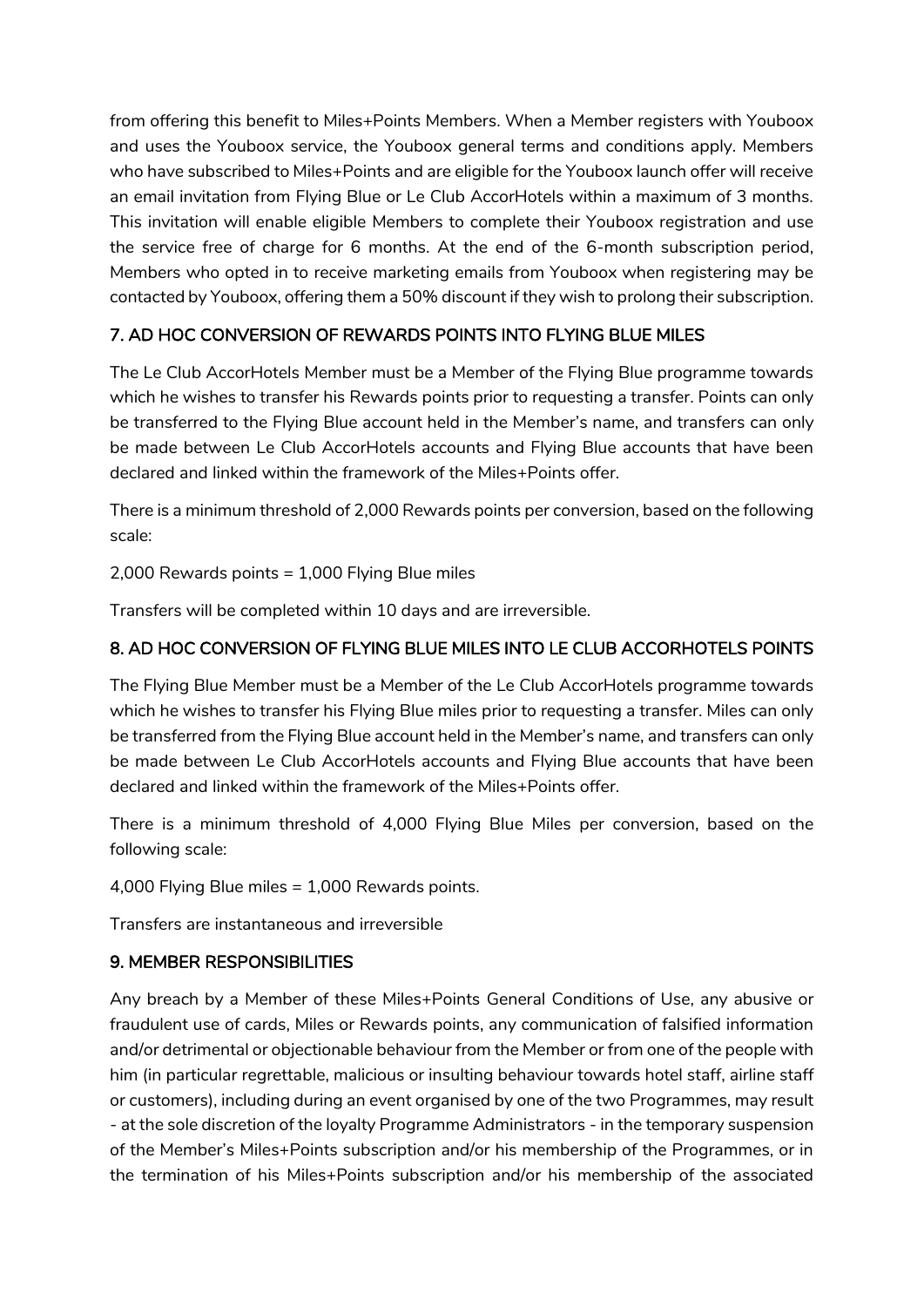from offering this benefit to Miles+Points Members. When a Member registers with Youboox and uses the Youboox service, the Youboox general terms and conditions apply. Members who have subscribed to Miles+Points and are eligible for the Youboox launch offer will receive an email invitation from Flying Blue or Le Club AccorHotels within a maximum of 3 months. This invitation will enable eligible Members to complete their Youboox registration and use the service free of charge for 6 months. At the end of the 6-month subscription period, Members who opted in to receive marketing emails from Youboox when registering may be contacted by Youboox, offering them a 50% discount if they wish to prolong their subscription.

### 7. AD HOC CONVERSION OF REWARDS POINTS INTO FLYING BLUE MILES

The Le Club AccorHotels Member must be a Member of the Flying Blue programme towards which he wishes to transfer his Rewards points prior to requesting a transfer. Points can only be transferred to the Flying Blue account held in the Member's name, and transfers can only be made between Le Club AccorHotels accounts and Flying Blue accounts that have been declared and linked within the framework of the Miles+Points offer.

There is a minimum threshold of 2,000 Rewards points per conversion, based on the following scale:

2,000 Rewards points = 1,000 Flying Blue miles

Transfers will be completed within 10 days and are irreversible.

## 8. AD HOC CONVERSION OF FLYING BLUE MILES INTO LE CLUB ACCORHOTELS POINTS

The Flying Blue Member must be a Member of the Le Club AccorHotels programme towards which he wishes to transfer his Flying Blue miles prior to requesting a transfer. Miles can only be transferred from the Flying Blue account held in the Member's name, and transfers can only be made between Le Club AccorHotels accounts and Flying Blue accounts that have been declared and linked within the framework of the Miles+Points offer.

There is a minimum threshold of 4,000 Flying Blue Miles per conversion, based on the following scale:

4,000 Flying Blue miles = 1,000 Rewards points.

Transfers are instantaneous and irreversible

### 9. MEMBER RESPONSIBILITIES

Any breach by a Member of these Miles+Points General Conditions of Use, any abusive or fraudulent use of cards, Miles or Rewards points, any communication of falsified information and/or detrimental or objectionable behaviour from the Member or from one of the people with him (in particular regrettable, malicious or insulting behaviour towards hotel staff, airline staff or customers), including during an event organised by one of the two Programmes, may result - at the sole discretion of the loyalty Programme Administrators - in the temporary suspension of the Member's Miles+Points subscription and/or his membership of the Programmes, or in the termination of his Miles+Points subscription and/or his membership of the associated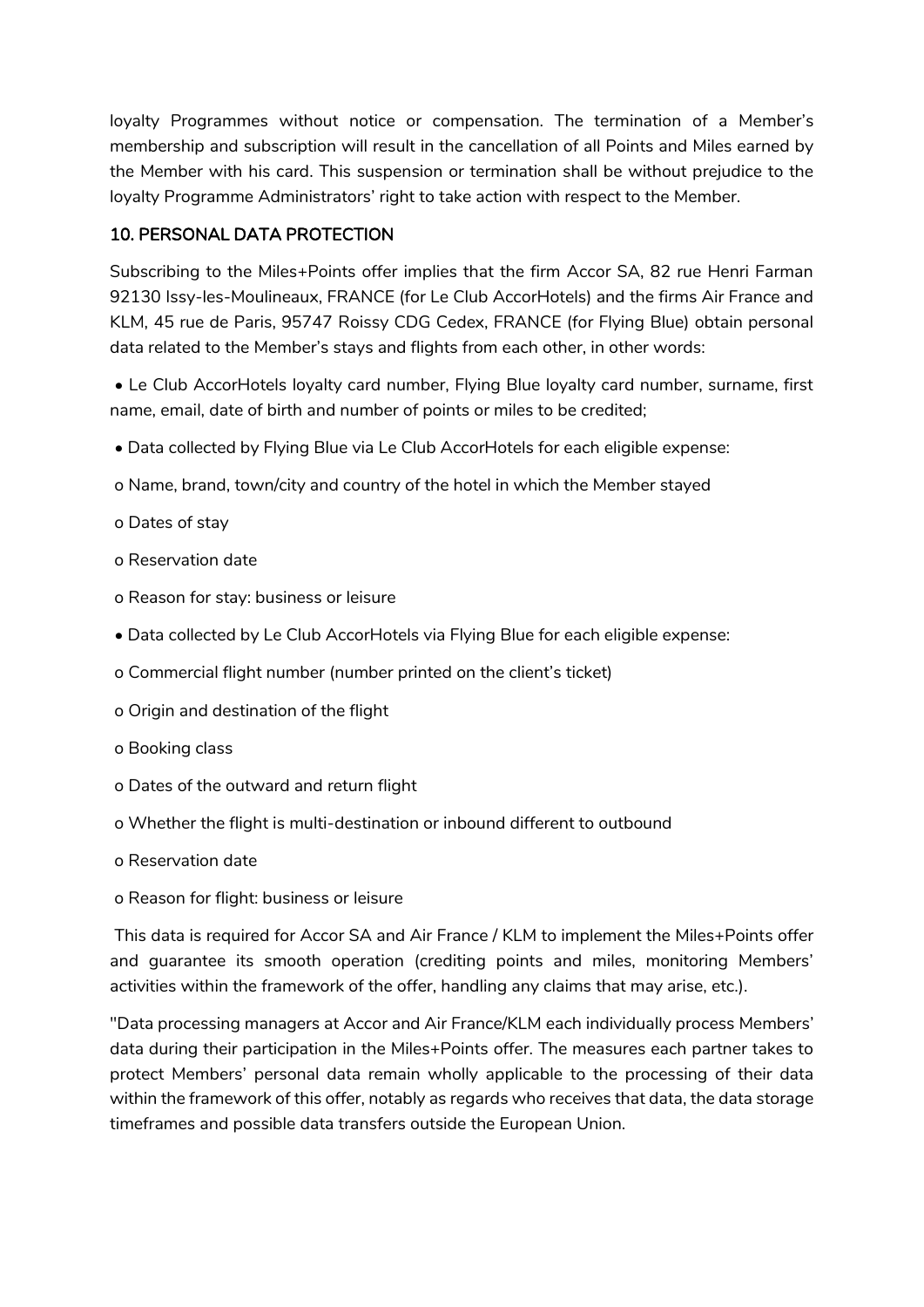loyalty Programmes without notice or compensation. The termination of a Member's membership and subscription will result in the cancellation of all Points and Miles earned by the Member with his card. This suspension or termination shall be without prejudice to the loyalty Programme Administrators' right to take action with respect to the Member.

## 10. PERSONAL DATA PROTECTION

Subscribing to the Miles+Points offer implies that the firm Accor SA, 82 rue Henri Farman 92130 Issy-les-Moulineaux, FRANCE (for Le Club AccorHotels) and the firms Air France and KLM, 45 rue de Paris, 95747 Roissy CDG Cedex, FRANCE (for Flying Blue) obtain personal data related to the Member's stays and flights from each other, in other words:

• Le Club AccorHotels loyalty card number, Flying Blue loyalty card number, surname, first name, email, date of birth and number of points or miles to be credited;

- Data collected by Flying Blue via Le Club AccorHotels for each eligible expense:
- o Name, brand, town/city and country of the hotel in which the Member stayed
- o Dates of stay
- o Reservation date
- o Reason for stay: business or leisure
- Data collected by Le Club AccorHotels via Flying Blue for each eligible expense:
- o Commercial flight number (number printed on the client's ticket)
- o Origin and destination of the flight
- o Booking class
- o Dates of the outward and return flight
- o Whether the flight is multi-destination or inbound different to outbound
- o Reservation date
- o Reason for flight: business or leisure

This data is required for Accor SA and Air France / KLM to implement the Miles+Points offer and guarantee its smooth operation (crediting points and miles, monitoring Members' activities within the framework of the offer, handling any claims that may arise, etc.).

"Data processing managers at Accor and Air France/KLM each individually process Members' data during their participation in the Miles+Points offer. The measures each partner takes to protect Members' personal data remain wholly applicable to the processing of their data within the framework of this offer, notably as regards who receives that data, the data storage timeframes and possible data transfers outside the European Union.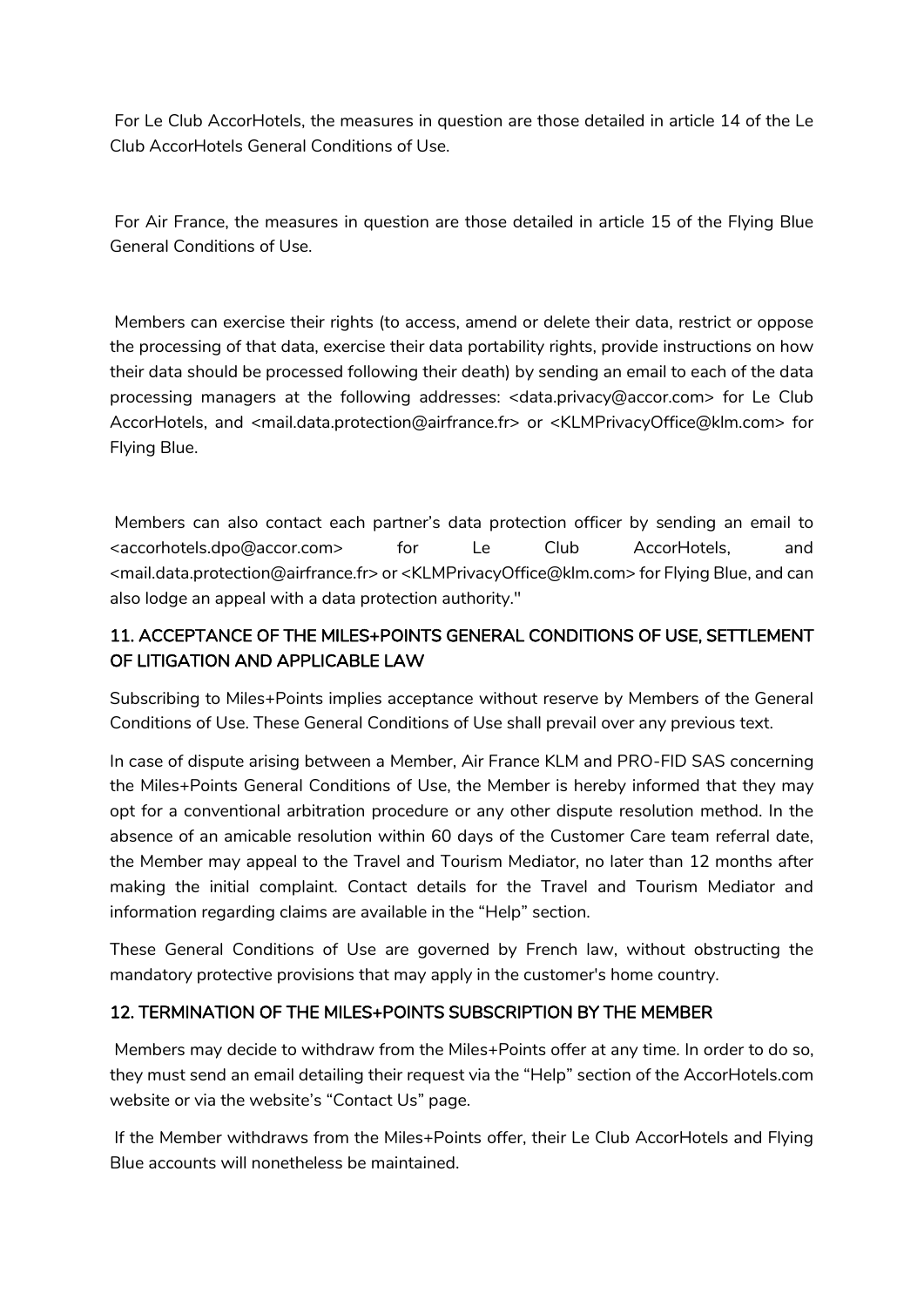For Le Club AccorHotels, the measures in question are those detailed in article 14 of the Le Club AccorHotels General Conditions of Use.

For Air France, the measures in question are those detailed in article 15 of the Flying Blue General Conditions of Use.

Members can exercise their rights (to access, amend or delete their data, restrict or oppose the processing of that data, exercise their data portability rights, provide instructions on how their data should be processed following their death) by sending an email to each of the data processing managers at the following addresses: <data.privacy@accor.com> for Le Club AccorHotels, and <mail.data.protection@airfrance.fr> or <KLMPrivacyOffice@klm.com> for Flying Blue.

Members can also contact each partner's data protection officer by sending an email to <accorhotels.dpo@accor.com> for Le Club AccorHotels, and <mail.data.protection@airfrance.fr> or <KLMPrivacyOffice@klm.com> for Flying Blue, and can also lodge an appeal with a data protection authority."

# 11. ACCEPTANCE OF THE MILES+POINTS GENERAL CONDITIONS OF USE, SETTLEMENT OF LITIGATION AND APPLICABLE LAW

Subscribing to Miles+Points implies acceptance without reserve by Members of the General Conditions of Use. These General Conditions of Use shall prevail over any previous text.

In case of dispute arising between a Member, Air France KLM and PRO-FID SAS concerning the Miles+Points General Conditions of Use, the Member is hereby informed that they may opt for a conventional arbitration procedure or any other dispute resolution method. In the absence of an amicable resolution within 60 days of the Customer Care team referral date, the Member may appeal to the Travel and Tourism Mediator, no later than 12 months after making the initial complaint. Contact details for the Travel and Tourism Mediator and information regarding claims are available in the "Help" section.

These General Conditions of Use are governed by French law, without obstructing the mandatory protective provisions that may apply in the customer's home country.

### 12. TERMINATION OF THE MILES+POINTS SUBSCRIPTION BY THE MEMBER

Members may decide to withdraw from the Miles+Points offer at any time. In order to do so, they must send an email detailing their request via the "Help" section of the AccorHotels.com website or via the website's "Contact Us" page.

If the Member withdraws from the Miles+Points offer, their Le Club AccorHotels and Flying Blue accounts will nonetheless be maintained.